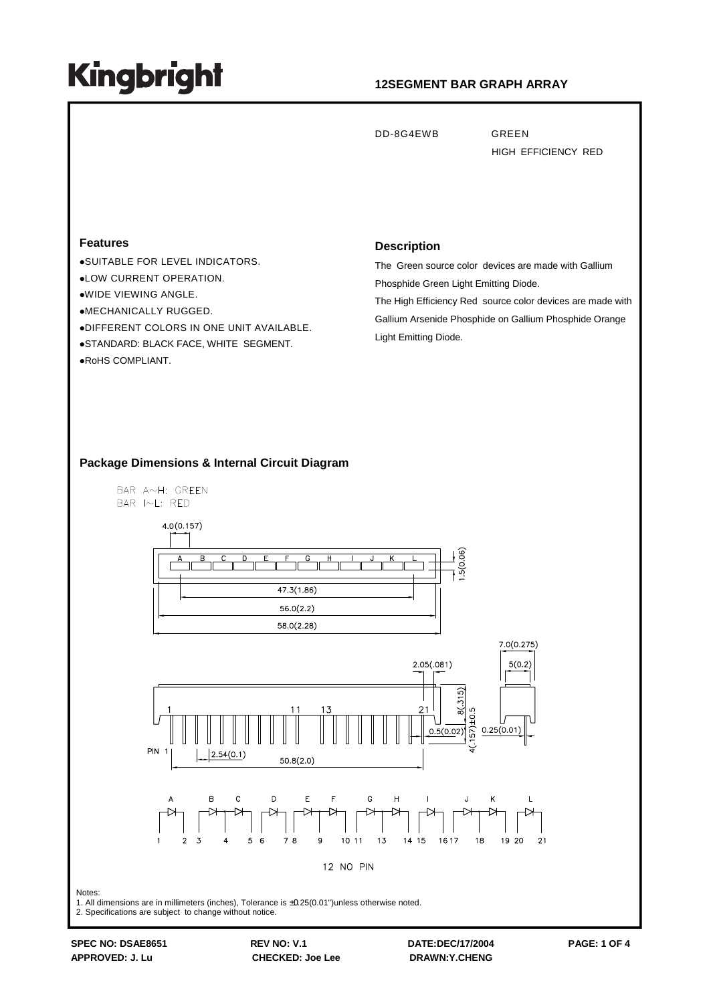### **12SEGMENT BAR GRAPH ARRAY**

DD-8G4EWB GREEN

HIGH EFFICIENCY RED

#### **Features**

SUITABLE FOR LEVEL INDICATORS. LOW CURRENT OPERATION. WIDE VIEWING ANGLE. MECHANICALLY RUGGED. DIFFERENT COLORS IN ONE UNIT AVAILABLE. STANDARD: BLACK FACE, WHITE SEGMENT. RoHS COMPLIANT.

#### **Description**

The Green source color devices are made with Gallium Phosphide Green Light Emitting Diode.

The High Efficiency Red source color devices are made with Gallium Arsenide Phosphide on Gallium Phosphide Orange Light Emitting Diode.

 $7.0(0.275)$ 

 $5(0.2)$ 

#### **Package Dimensions & Internal Circuit Diagram**

BAR A~H: GREEN BAR I~L: RED  $4.0(0.157)$  $47.3(1.86)$  $56.0(2.2)$  $58.0(2.28)$  $2.05(.081)$  $8(.315)$  $21$  $57) \pm 0.5$  $0.25(0.01)$  $0.5(0.02)$ **PIN 1**  $2.54(0.1)$  $50.8(2.0)$  $\overline{C}$ D E  $\overline{F}$ G

12 NO PIN

 $10.11$ 

 $1.3$ 

Notes:

1. All dimensions are in millimeters (inches), Tolerance is ±0.25(0.01")unless otherwise noted.

 $\epsilon$ 

2. Specifications are subject to change without notice.

**SPEC NO: DSAE8651 REV NO: V.1 DATE:DEC/17/2004 PAGE: 1 OF 4**

 $78$ 

1617

18

19 20

 $21$ 

14 15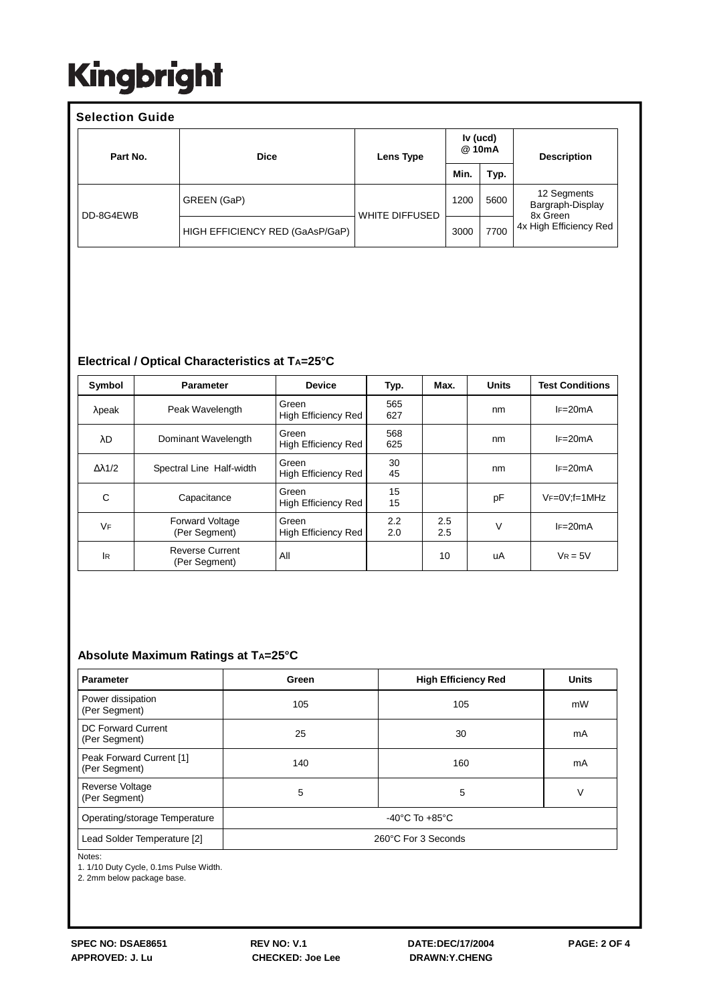| <b>Selection Guide</b> |                                 |                                 |      |      |                                             |  |  |  |  |
|------------------------|---------------------------------|---------------------------------|------|------|---------------------------------------------|--|--|--|--|
| Part No.               | <b>Dice</b>                     | Iv (ucd)<br>@ 10mA<br>Lens Type |      |      | <b>Description</b>                          |  |  |  |  |
|                        |                                 |                                 | Min. | Typ. |                                             |  |  |  |  |
| DD-8G4EWB              | GREEN (GaP)                     | <b>WHITE DIFFUSED</b>           | 1200 | 5600 | 12 Segments<br>Bargraph-Display<br>8x Green |  |  |  |  |
|                        | HIGH EFFICIENCY RED (GaAsP/GaP) |                                 | 3000 | 7700 | 4x High Efficiency Red                      |  |  |  |  |

### **Electrical / Optical Characteristics at TA=25°C**

| Symbol               | <b>Parameter</b>                        | <b>Device</b>                       | Typ.       | Max.       | <b>Units</b> | <b>Test Conditions</b> |
|----------------------|-----------------------------------------|-------------------------------------|------------|------------|--------------|------------------------|
| $\lambda$ peak       | Peak Wavelength                         | Green<br>High Efficiency Red        | 565<br>627 |            | nm           | $IF=20mA$              |
| λD                   | Dominant Wavelength                     | Green<br>High Efficiency Red        | 568<br>625 |            | nm           | $IF=20mA$              |
| $\Delta \lambda$ 1/2 | Spectral Line Half-width                | Green<br>High Efficiency Red        | 30<br>45   |            | nm           | $IF=20mA$              |
| C                    | Capacitance                             | Green<br><b>High Efficiency Red</b> | 15<br>15   |            | pF           | $VF=0V; f=1MHz$        |
| VF                   | <b>Forward Voltage</b><br>(Per Segment) | Green<br>High Efficiency Red        | 2.2<br>2.0 | 2.5<br>2.5 | V            | $IF=20mA$              |
| <b>IR</b>            | <b>Reverse Current</b><br>(Per Segment) | All                                 |            | 10         | uA           | $V_R = 5V$             |

#### **Absolute Maximum Ratings at TA=25°C**

| <b>Parameter</b>                          | Green               | <b>High Efficiency Red</b> | <b>Units</b> |  |  |  |
|-------------------------------------------|---------------------|----------------------------|--------------|--|--|--|
| Power dissipation<br>(Per Segment)        | 105                 | 105                        | mW           |  |  |  |
| DC Forward Current<br>(Per Segment)       | 25                  | 30                         | mA           |  |  |  |
| Peak Forward Current [1]<br>(Per Segment) | 140                 | 160                        | mA           |  |  |  |
| <b>Reverse Voltage</b><br>(Per Segment)   | 5                   | 5                          | V            |  |  |  |
| Operating/storage Temperature             | -40°C To $+85$ °C   |                            |              |  |  |  |
| Lead Solder Temperature [2]               | 260°C For 3 Seconds |                            |              |  |  |  |

Notes:

1. 1/10 Duty Cycle, 0.1ms Pulse Width.

2. 2mm below package base.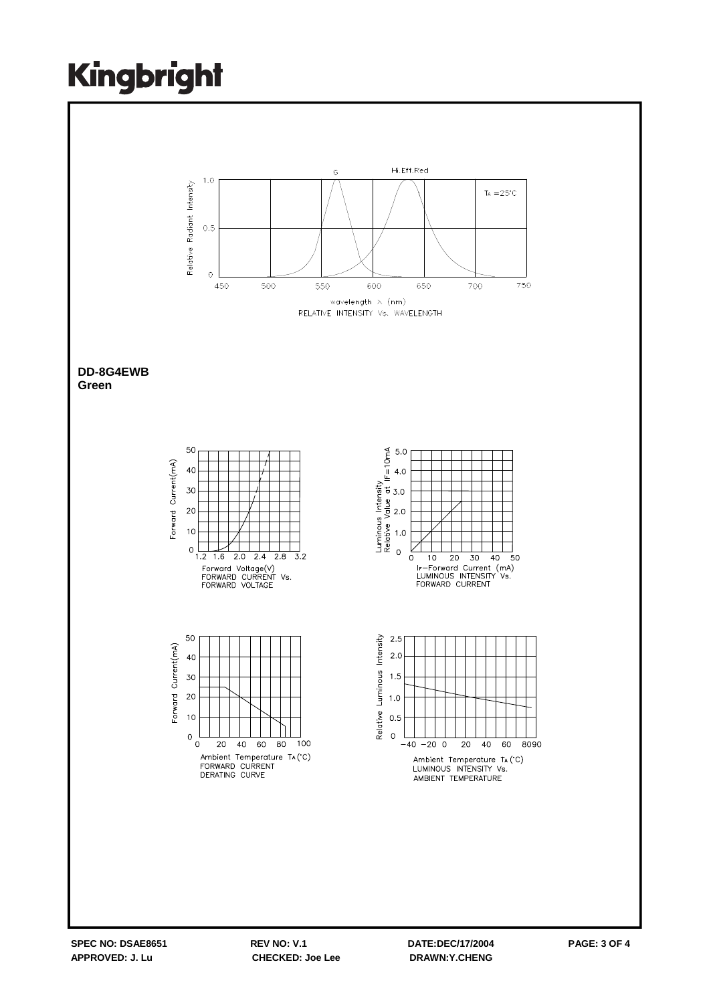